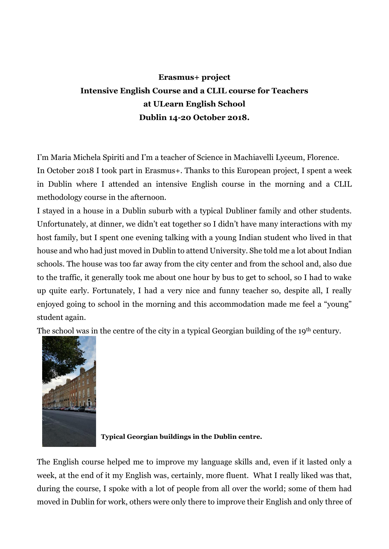## **Erasmus+ project Intensive English Course and a CLIL course for Teachers at ULearn English School Dublin 14-20 October 2018.**

I'm Maria Michela Spiriti and I'm a teacher of Science in Machiavelli Lyceum, Florence. In October 2018 I took part in Erasmus+. Thanks to this European project, I spent a week in Dublin where I attended an intensive English course in the morning and a CLIL methodology course in the afternoon.

I stayed in a house in a Dublin suburb with a typical Dubliner family and other students. Unfortunately, at dinner, we didn't eat together so I didn't have many interactions with my host family, but I spent one evening talking with a young Indian student who lived in that house and who had just moved in Dublin to attend University. She told me a lot about Indian schools. The house was too far away from the city center and from the school and, also due to the traffic, it generally took me about one hour by bus to get to school, so I had to wake up quite early. Fortunately, I had a very nice and funny teacher so, despite all, I really enjoyed going to school in the morning and this accommodation made me feel a "young" student again.

The school was in the centre of the city in a typical Georgian building of the 19<sup>th</sup> century.



**Typical Georgian buildings in the Dublin centre.**

The English course helped me to improve my language skills and, even if it lasted only a week, at the end of it my English was, certainly, more fluent. What I really liked was that, during the course, I spoke with a lot of people from all over the world; some of them had moved in Dublin for work, others were only there to improve their English and only three of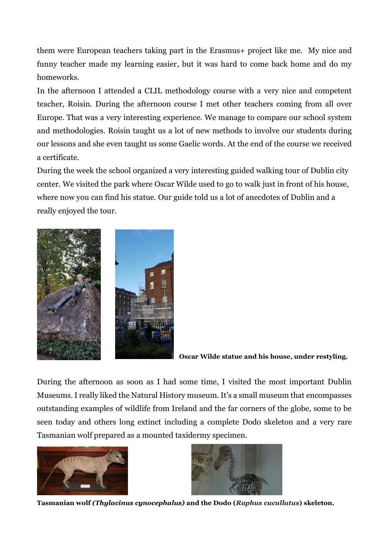them were European teachers taking part in the Erasmus+ project like me. My nice and funny teacher made my learning easier, but it was hard to come back home and do my homeworks.

In the afternoon I attended a CLIL methodology course with a very nice and competent teacher, Roisin. During the afternoon course I met other teachers coming from all over Europe. That was a very interesting experience. We manage to compare our school system and methodologies. Roisin taught us a lot of new methods to involve our students during our lessons and she even taught us some Gaelic words. At the end of the course we received a certificate.

During the week the school organized a very interesting guided walking tour of Dublin city center. We visited the park where Oscar Wilde used to go to walk just in front of his house, where now you can find his statue. Our guide told us a lot of anecdotes of Dublin and a really enjoyed the tour.



**Oscar Wilde statue and his house, under restyling.**

During the afternoon as soon as I had some time, I visited the most important Dublin Museums. I really liked the Natural History museum. It's a small museum that encompasses outstanding examples of wildlife from Ireland and the far corners of the globe, some to be seen today and others long extinct including a complete Dodo skeleton and a very rare Tasmanian wolf prepared as a mounted taxidermy specimen.





**Tasmanian wolf** *(Thylacinus cynocephalus)* **and the Dodo (***Raphus cucullatus***) skeleton.**